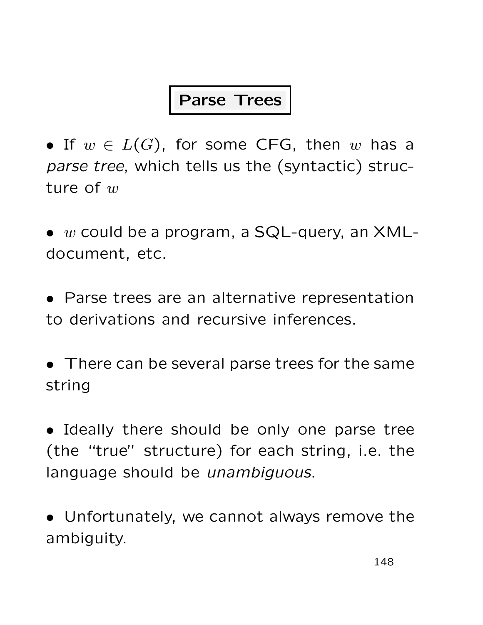### Parse Trees

• If  $w \in L(G)$ , for some CFG, then w has a parse tree, which tells us the (syntactic) structure of  $w$ 

 $\bullet$  w could be a program, a SQL-query, an XMLdocument, etc.

• Parse trees are an alternative representation to derivations and recursive inferences.

• There can be several parse trees for the same string

• Ideally there should be only one parse tree (the "true" structure) for each string, i.e. the language should be *unambiguous*.

• Unfortunately, we cannot always remove the ambiguity.

148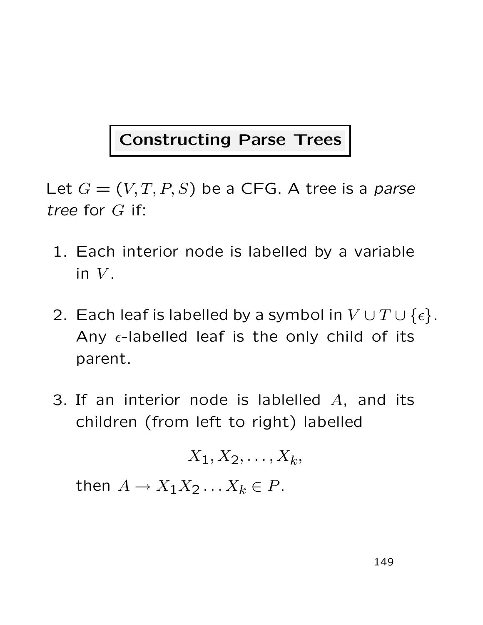## Constructing Parse Trees

Let  $G = (V, T, P, S)$  be a CFG. A tree is a parse tree for G if:

- 1. Each interior node is labelled by a variable in  $V$ .
- 2. Each leaf is labelled by a symbol in  $V \cup T \cup \{\epsilon\}.$ Any  $\epsilon$ -labelled leaf is the only child of its parent.
- 3. If an interior node is lablelled  $A$ , and its children (from left to right) labelled

$$
X_1, X_2, \ldots, X_k,
$$

then  $A \to X_1 X_2 \dots X_k \in P$ .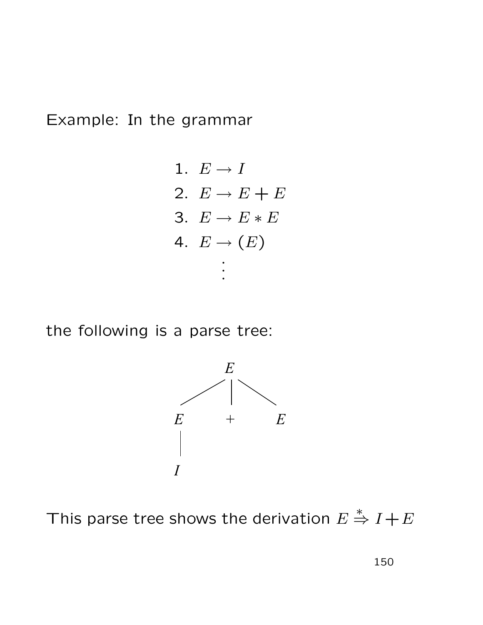Example: In the grammar

1. 
$$
E \rightarrow I
$$
\n2.  $E \rightarrow E + E$ \n3.  $E \rightarrow E * E$ \n4.  $E \rightarrow (E)$ \n $\vdots$ 

the following is a parse tree:



This parse tree shows the derivation  $E$  $\stackrel{*}{\Rightarrow} I + E$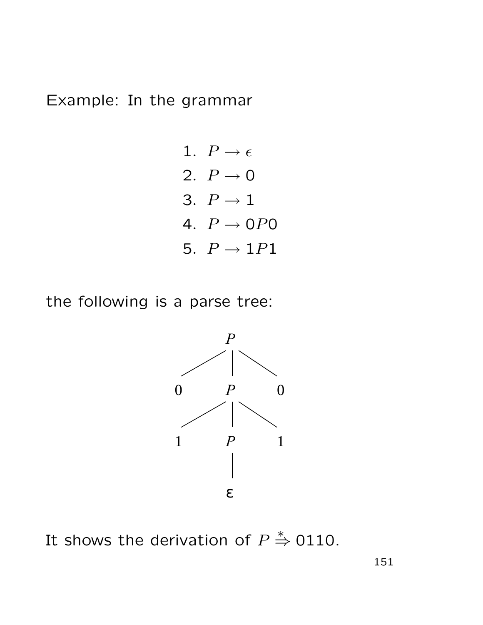Example: In the grammar

1. 
$$
P \rightarrow \epsilon
$$
  
\n2.  $P \rightarrow 0$   
\n3.  $P \rightarrow 1$   
\n4.  $P \rightarrow 0P0$   
\n5.  $P \rightarrow 1P1$ 

the following is a parse tree:



It shows the derivation of  $\overline{P}$  $\doteqdot$  0110.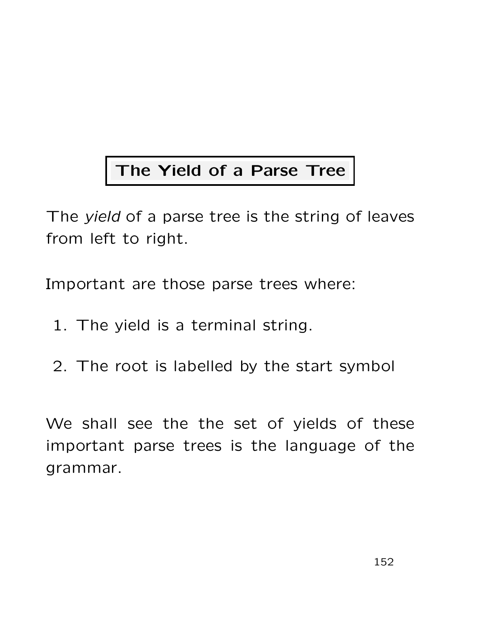## The Yield of a Parse Tree

The *yield* of a parse tree is the string of leaves from left to right.

Important are those parse trees where:

- 1. The yield is a terminal string.
- 2. The root is labelled by the start symbol

We shall see the the set of yields of these important parse trees is the language of the grammar.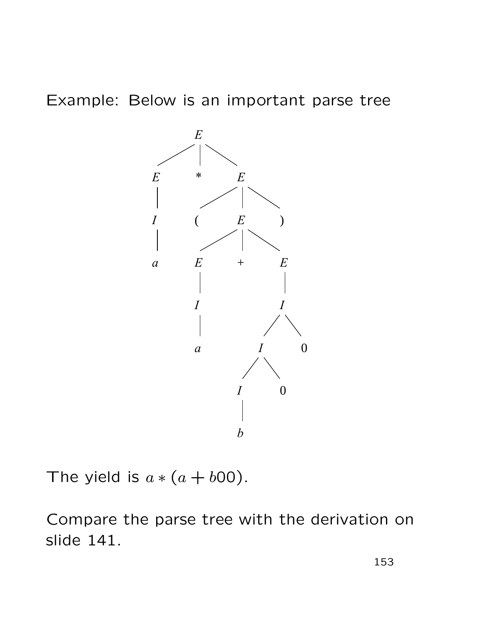#### Example: Below is an important parse tree



The yield is  $a * (a + b00)$ .

Compare the parse tree with the derivation on slide 141.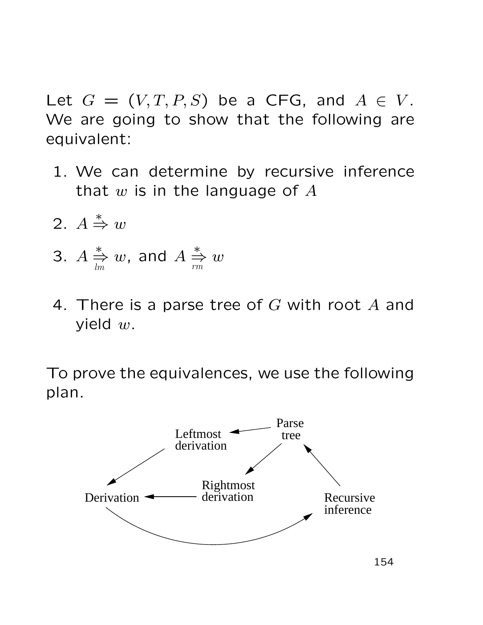Let  $G = (V, T, P, S)$  be a CFG, and  $A \in V$ . We are going to show that the following are equivalent:

- 1. We can determine by recursive inference that  $w$  is in the language of  $A$
- 2. A  $\stackrel{*}{\Rightarrow} w$
- 3. A ∗ ⇒ lm  $w$ , and  $\overline{A}$ ∗ ⇒ rm  $\overline{w}$
- 4. There is a parse tree of  $G$  with root  $A$  and yield  $w$ .

To prove the equivalences, we use the following plan.

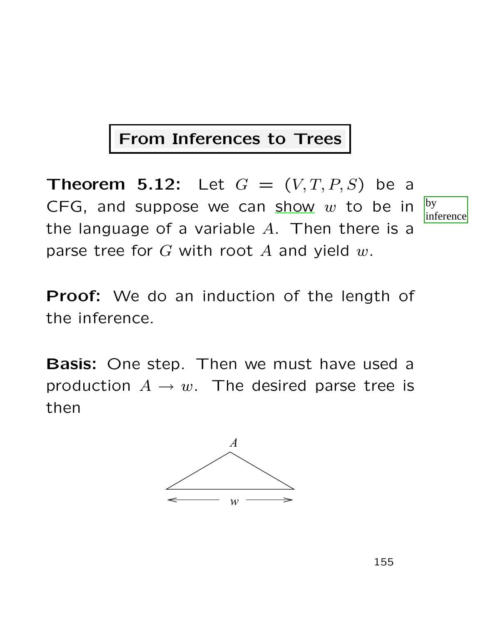### From Inferences to Trees

**Theorem 5.12:** Let  $G = (V, T, P, S)$  be a CFG, and suppose we can show  $w$  to be in the language of a variable  $A$ . Then there is a parse tree for  $G$  with root  $A$  and yield  $w$ .



**Proof:** We do an induction of the length of the inference.

Basis: One step. Then we must have used a production  $A \rightarrow w$ . The desired parse tree is then

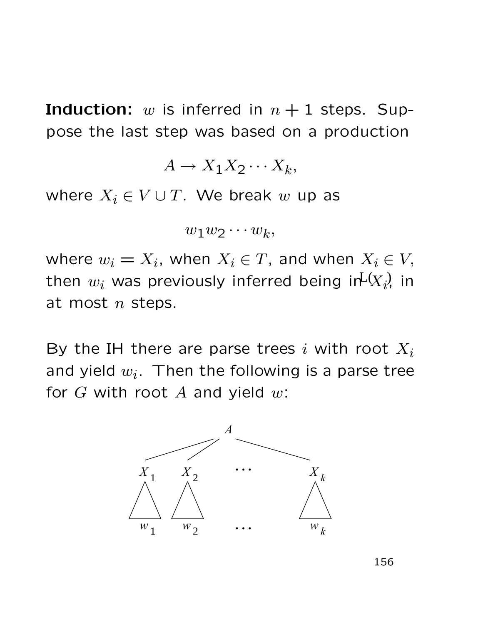**Induction:** w is inferred in  $n + 1$  steps. Suppose the last step was based on a production

$$
A \to X_1 X_2 \cdots X_k,
$$

where  $X_i \in V \cup T$ . We break w up as

$$
w_1w_2\cdots w_k,
$$

where  $w_i = X_i$ , when  $X_i \in T$ , and when  $X_i \in V$ , then  $w_i$  was previously inferred being in $\mathsf{L} \langle X_{i} \rangle$  in at most  $n$  steps.

By the IH there are parse trees i with root  $X_i$ and yield  $w_i$ . Then the following is a parse tree for  $G$  with root  $A$  and yield  $w$ :



156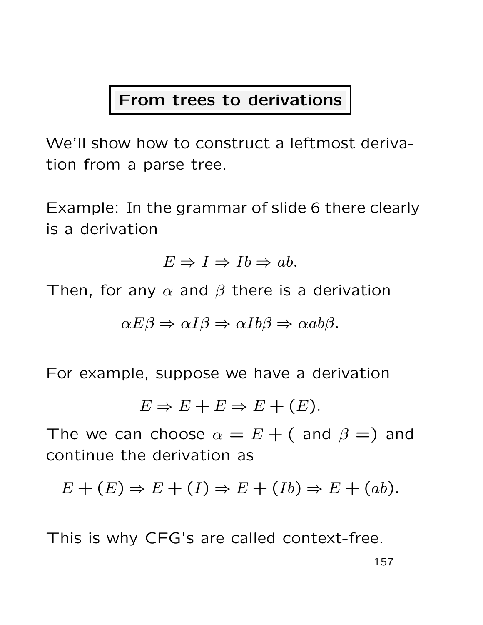#### From trees to derivations

We'll show how to construct a leftmost derivation from a parse tree.

Example: In the grammar of slide 6 there clearly is a derivation

 $E \Rightarrow I \Rightarrow Ib \Rightarrow ab.$ 

Then, for any  $\alpha$  and  $\beta$  there is a derivation

$$
\alpha E \beta \Rightarrow \alpha I \beta \Rightarrow \alpha Ib \beta \Rightarrow \alpha ab \beta.
$$

For example, suppose we have a derivation

$$
E \Rightarrow E + E \Rightarrow E + (E).
$$

The we can choose  $\alpha = E + ($  and  $\beta = )$  and continue the derivation as

$$
E + (E) \Rightarrow E + (I) \Rightarrow E + (Ib) \Rightarrow E + (ab).
$$

This is why CFG's are called context-free.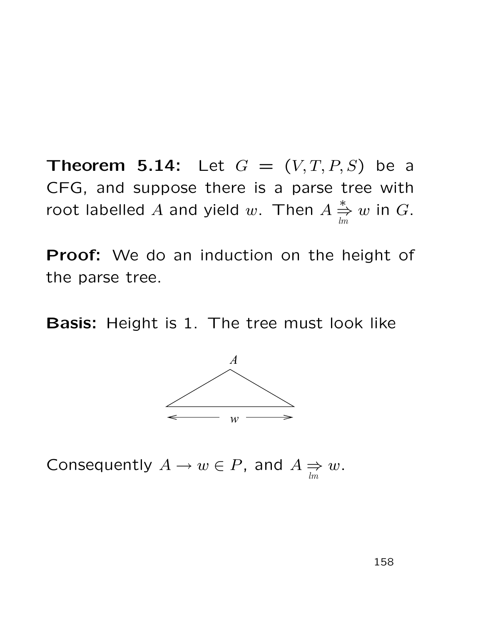**Theorem 5.14:** Let  $G = (V, T, P, S)$  be a CFG, and suppose there is a parse tree with root labelled  $A$  and yield  $w$ . Then  $A$ ∗ ⇒ lm  $w$  in  $G$ .

Proof: We do an induction on the height of the parse tree.

Basis: Height is 1. The tree must look like



Consequently  $A \to w \in P$ , and  $A \Rightarrow$ lm  $\omega$ .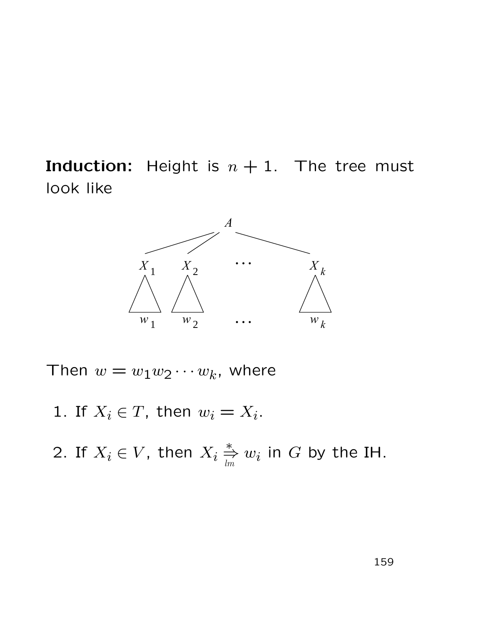**Induction:** Height is  $n + 1$ . The tree must look like



Then  $w = w_1 w_2 \cdots w_k$ , where

1. If  $X_i \in T$ , then  $w_i = X_i$ .

2. If  $X_i \in V$ , then  $X_i \overset{*}{\Rightarrow}$  $\mathop{\Rumpeq}\limits_{lm} w_i$  in  $G$  by the IH.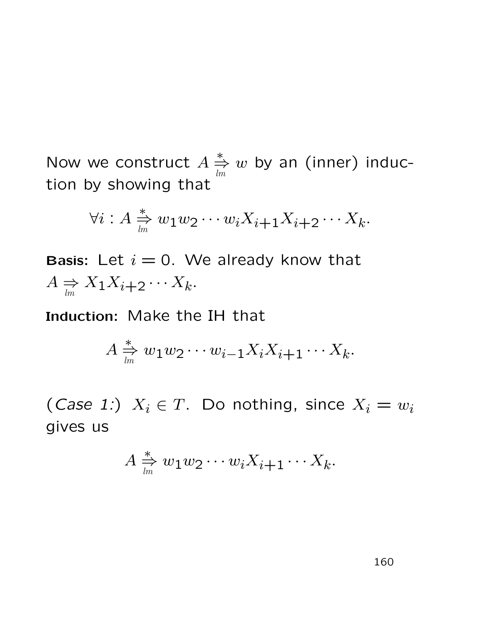Now we construct A ∗ ⇒ lm  $w$  by an (inner) induction by showing that

$$
\forall i: A \underset{\mathit{lm}}{\Leftrightarrow} w_1 w_2 \cdots w_i X_{i+1} X_{i+2} \cdots X_k.
$$

Basis: Let  $i = 0$ . We already know that  $A \Rightarrow$  $\Rightarrow X_1 X_{i+2} \cdots X_k.$ 

Induction: Make the IH that

$$
A \stackrel{*}{\underset{lm}{\rightleftharpoons}} w_1w_2\cdots w_{i-1}X_iX_{i+1}\cdots X_k.
$$

(*Case 1:*)  $X_i \in T$ . Do nothing, since  $X_i = w_i$ gives us

$$
A \underset{\textit{lm}}{\overset{*}{\Rightarrow}} w_1 w_2 \cdots w_i X_{i+1} \cdots X_k.
$$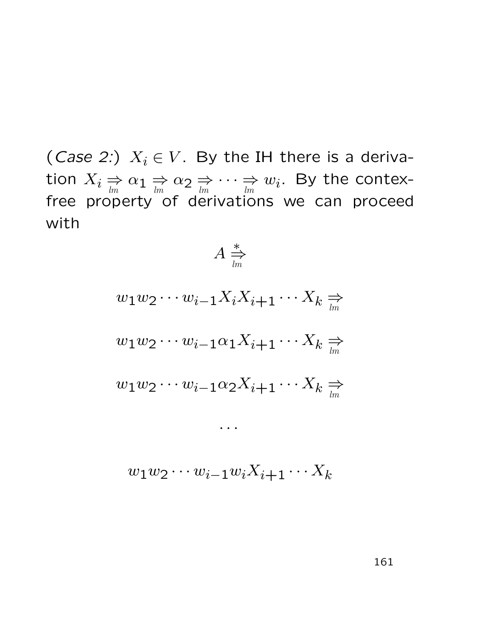(Case 2:)  $X_i \in V$ . By the IH there is a derivation  $X_i \underset{lm}{\Rightarrow} \alpha_1 \underset{lm}{\Rightarrow} \alpha_2 \underset{lm}{\Rightarrow}$  $\cdots \Rightarrow$  $\Rightarrow \limits _{lm}$   $w_i.$  By the contexfree property of derivations we can proceed with

∗ ⇒

A

$$
w_1w_2\cdots w_{i-1}X_iX_{i+1}\cdots X_k \underset{lm}{\Rightarrow}
$$
  

$$
w_1w_2\cdots w_{i-1}\alpha_1X_{i+1}\cdots X_k \underset{lm}{\Rightarrow}
$$
  

$$
w_1w_2\cdots w_{i-1}\alpha_2X_{i+1}\cdots X_k \underset{lm}{\Rightarrow}
$$

$$
w_1w_2\cdots w_{i-1}w_iX_{i+1}\cdots X_k
$$

 $\bullet$   $\bullet$   $\bullet$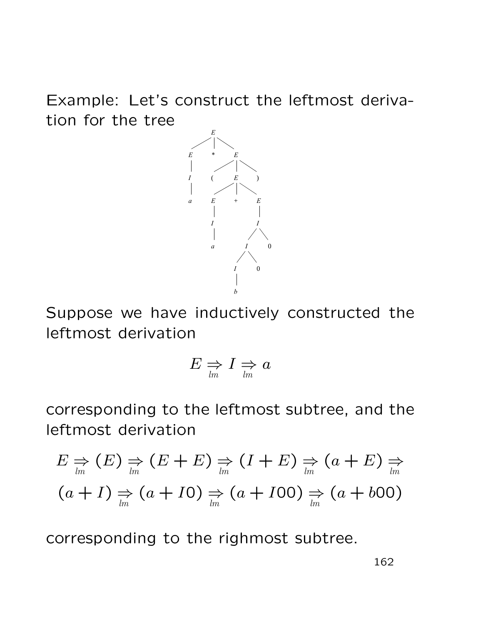Example: Let's construct the leftmost derivation for the tree



Suppose we have inductively constructed the leftmost derivation

$$
E \Rightarrow I \Rightarrow a
$$

corresponding to the leftmost subtree, and the leftmost derivation

$$
E \underset{lm}{\Rightarrow} (E) \underset{lm}{\Rightarrow} (E + E) \underset{lm}{\Rightarrow} (I + E) \underset{lm}{\Rightarrow} (a + E) \underset{lm}{\Rightarrow}
$$
  
(a + I)  $\underset{lm}{\Rightarrow} (a + I0) \underset{lm}{\Rightarrow} (a + I00) \underset{lm}{\Rightarrow} (a + b00)$ 

corresponding to the righmost subtree.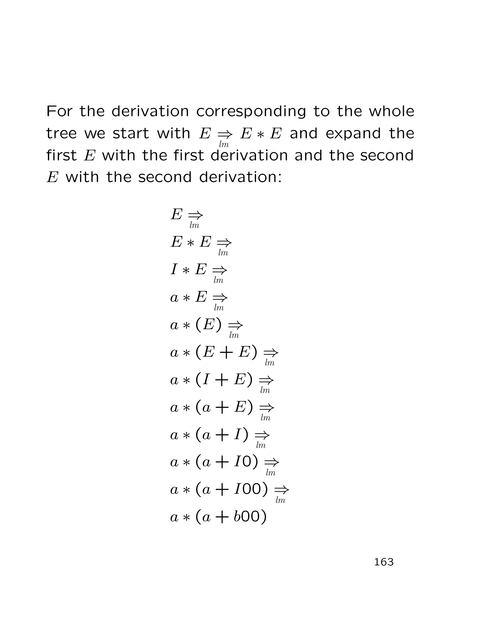For the derivation corresponding to the whole tree we start with  $E \Rightarrow$ lm  $E * E$  and expand the first  $E$  with the first derivation and the second  $E$  with the second derivation:

$$
E \underset{lm}{\Rightarrow}
$$
  
\n
$$
E * E \underset{lm}{\Rightarrow}
$$
  
\n
$$
I * E \underset{lm}{\Rightarrow}
$$
  
\n
$$
a * E \underset{lm}{\Rightarrow}
$$
  
\n
$$
a * (E) \underset{lm}{\Rightarrow}
$$
  
\n
$$
a * (E + E) \underset{lm}{\Rightarrow}
$$
  
\n
$$
a * (I + E) \underset{lm}{\Rightarrow}
$$
  
\n
$$
a * (a + E) \underset{lm}{\Rightarrow}
$$
  
\n
$$
a * (a + I) \underset{lm}{\Rightarrow}
$$
  
\n
$$
a * (a + I0) \underset{lm}{\Rightarrow}
$$
  
\n
$$
a * (a + I00) \underset{lm}{\Rightarrow}
$$
  
\n
$$
a * (a + 600)
$$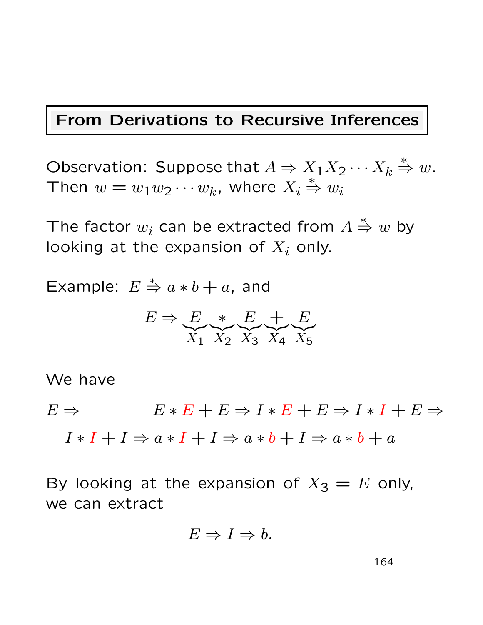#### From Derivations to Recursive Inferences

Observation: Suppose that  $A \Rightarrow X_1 X_2 \cdots X_k \stackrel{*}{\Rightarrow} w$ . Then  $w = w_1 w_2 \cdots w_k$ , where  $X_i$  $\stackrel{*}{\Rightarrow} w_i$ 

The factor  $w_i$  can be extracted from  $A$  $\stackrel{*}{\Rightarrow} w$  by looking at the expansion of  $X_i$  only.

Example:  $E \stackrel{*}{\Rightarrow} a * b + a$ , and

$$
E \Rightarrow \underbrace{E}_{X_1} \underbrace{*}_{X_2} \underbrace{E}_{X_3} \underbrace{+}_{X_4} \underbrace{E}_{X_5}
$$

We have

 $E \Rightarrow E \ast E + E \Rightarrow I \ast E + E \Rightarrow I \ast I + E \Rightarrow$ 

 $I * I + I \Rightarrow a * I + I \Rightarrow a * b + I \Rightarrow a * b + a$ 

By looking at the expansion of  $X_3 = E$  only, we can extract

$$
E \Rightarrow I \Rightarrow b.
$$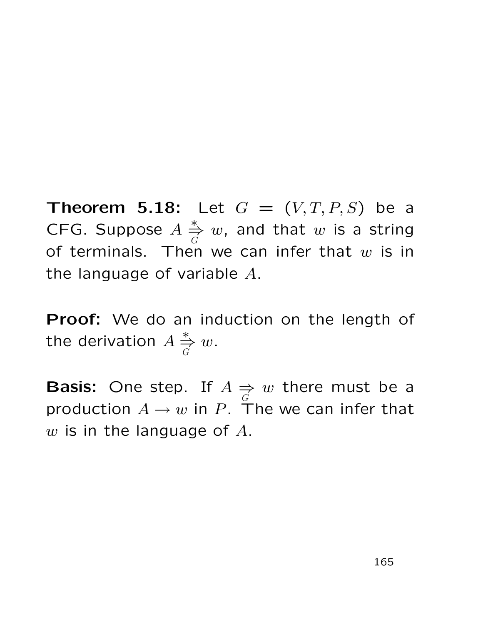**Theorem 5.18:** Let  $G = (V, T, P, S)$  be a CFG. Suppose A ∗ ⇒ G  $w$ , and that  $w$  is a string of terminals. Then we can infer that  $w$  is in the language of variable A.

Proof: We do an induction on the length of the derivation  $A$ ∗ ⇒ G  $\omega$ .

**Basis:** One step. If  $A \Rightarrow$ G  $w$  there must be a production  $A \rightarrow w$  in P. The we can infer that  $w$  is in the language of  $A$ .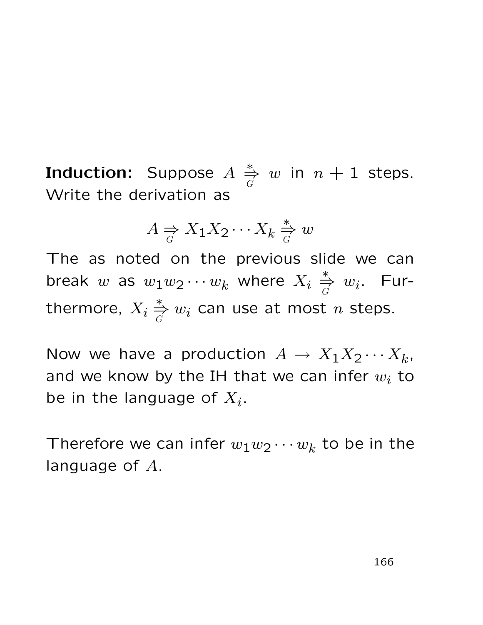Induction: Suppose  $A$ ∗ ⇒ G w in  $n + 1$  steps. Write the derivation as

$$
A \underset{G}{\Rightarrow} X_1 X_2 \cdots X_k \underset{G}{\overset{*}{\Rightarrow}} w
$$

The as noted on the previous slide we can break  $w$  as  $w_1w_2\cdots w_k$  where  $X_i \stackrel{*}{\Rightarrow}$  $\overset{*}{\Rightarrow} w_i$ . Furthermore,  $X_i$ ∗ ⇒  $\mathop{\R}\limits^{\ast}_{G} w_i$  can use at most  $n$  steps.

Now we have a production  $A \to X_1 X_2 \cdots X_k$ , and we know by the IH that we can infer  $w_i$  to be in the language of  $X_i$ .

Therefore we can infer  $w_1w_2\cdots w_k$  to be in the language of A.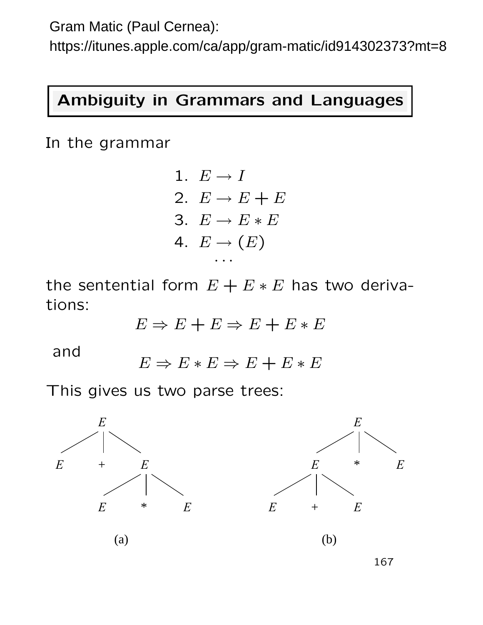Gram Matic (Paul Cernea):

https://itunes.apple.com/ca/app/gram-matic/id914302373?mt=8

#### Ambiguity in Grammars and Languages

In the grammar

1. 
$$
E \rightarrow I
$$
\n2.  $E \rightarrow E + E$ \n3.  $E \rightarrow E * E$ \n4.  $E \rightarrow (E)$ \n...

the sentential form  $E + E * E$  has two derivations:

$$
E \Rightarrow E + E \Rightarrow E + E * E
$$

and

 $E \Rightarrow E * E \Rightarrow E + E * E$ 

This gives us two parse trees:



167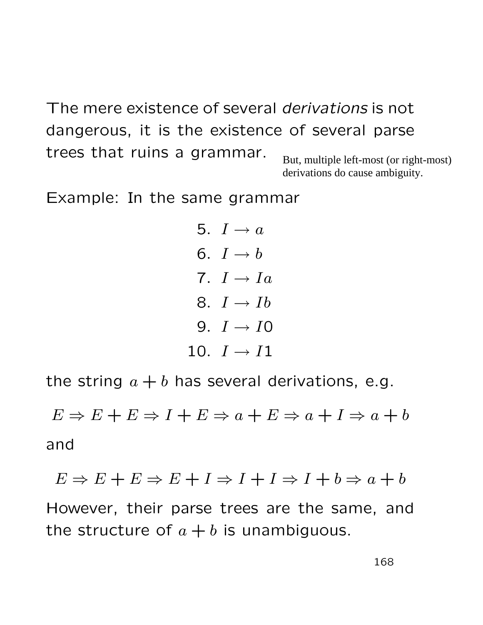The mere existence of several derivations is not dangerous, it is the existence of several parse trees that ruins a grammar. But, multiple left-most (or right-most)

derivations do cause ambiguity.

Example: In the same grammar

5. 
$$
I \rightarrow a
$$
\n6.  $I \rightarrow b$ \n7.  $I \rightarrow Ia$ \n8.  $I \rightarrow Ib$ \n9.  $I \rightarrow I0$ \n10.  $I \rightarrow I1$ 

the string  $a + b$  has several derivations, e.g.

 $E \Rightarrow E + E \Rightarrow I + E \Rightarrow a + E \Rightarrow a + I \Rightarrow a + b$ and

$$
E \Rightarrow E + E \Rightarrow E + I \Rightarrow I + I \Rightarrow I + b \Rightarrow a + b
$$

However, their parse trees are the same, and the structure of  $a + b$  is unambiguous.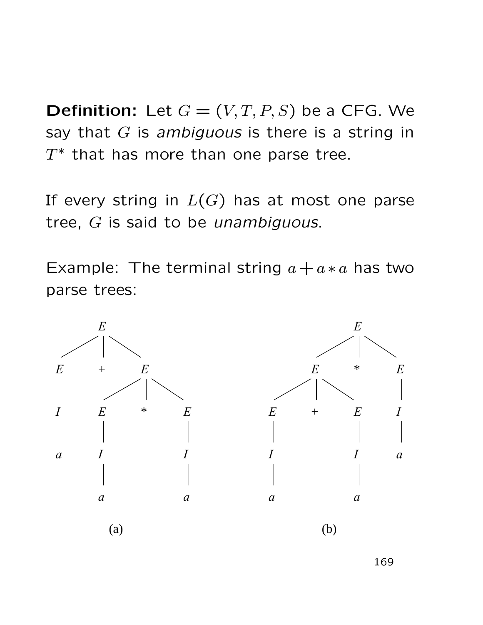**Definition:** Let  $G = (V, T, P, S)$  be a CFG. We say that  $G$  is ambiguous is there is a string in  $\overline{T}$ ∗ that has more than one parse tree.

If every string in  $L(G)$  has at most one parse tree, G is said to be *unambiguous*.

Example: The terminal string  $a + a * a$  has two parse trees:



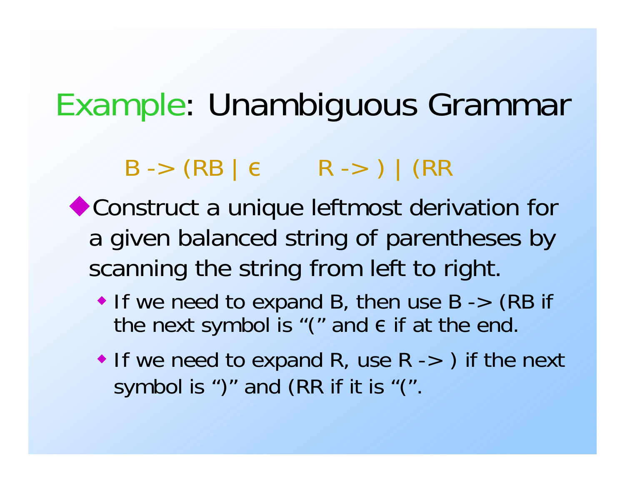# Example: Unambiguous Grammar

 $B \rightarrow (RB \mid \epsilon \qquad R \rightarrow) \mid (RR \mid \epsilon)$ 

Construct a unique leftmost derivation for a given balanced string of parentheses by scanning the string from left to right.

- If we need to expand B, then use  $B \rightarrow (RB \text{ if }$ the next symbol is "(" and  $\epsilon$  if at the end.
- If we need to expand R, use  $R \rightarrow$  ) if the next symbol is ")" and (RR if it is "(".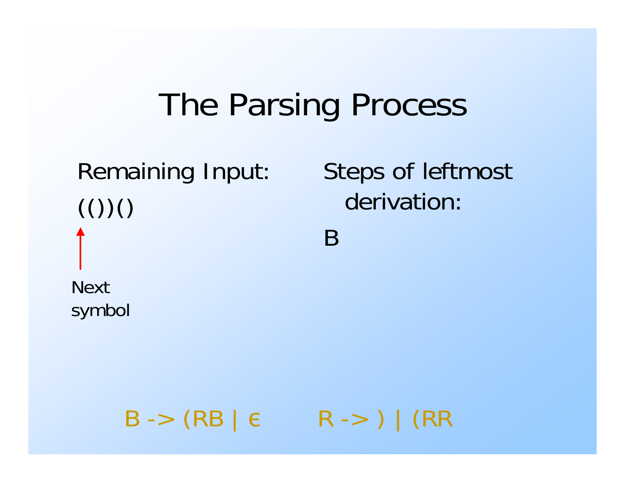# Remaining Input:  $\left( \left( \right) \right)$ Nextsymbol

Steps of leftmost derivation:

B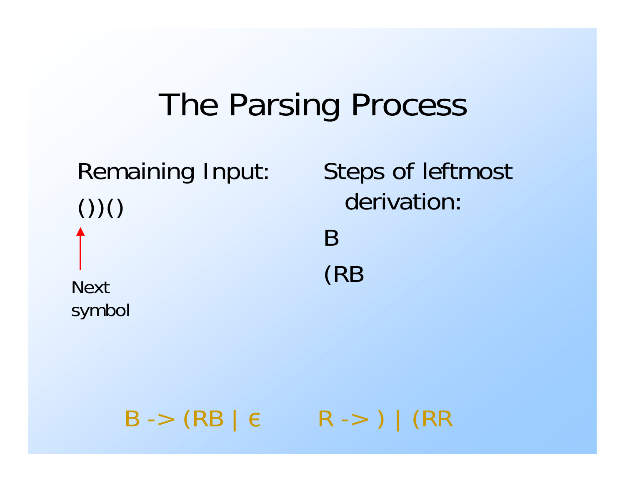# Remaining Input:  $()()()$ (RB Nextsymbol

Steps of leftmost derivation:B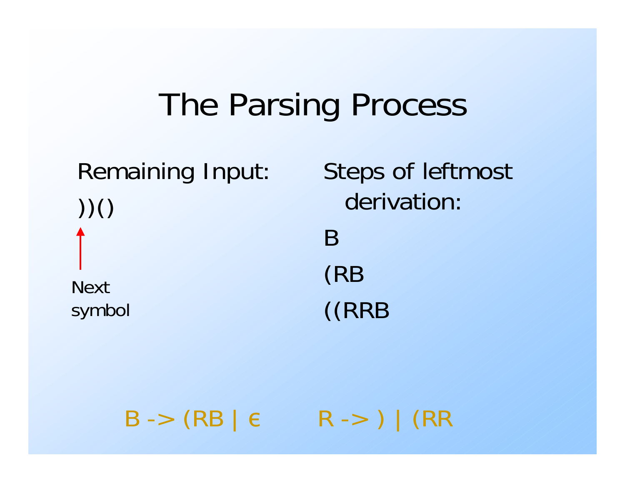# Remaining Input: ))() Nextsymbol

Steps of leftmost derivation:B(RB ((RRB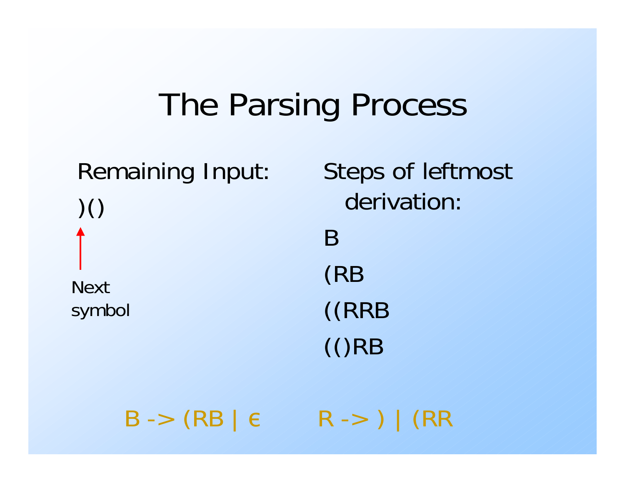Remaining Input: )() Nextsymbol

Steps of leftmost derivation:B(RB ((RRB (()RB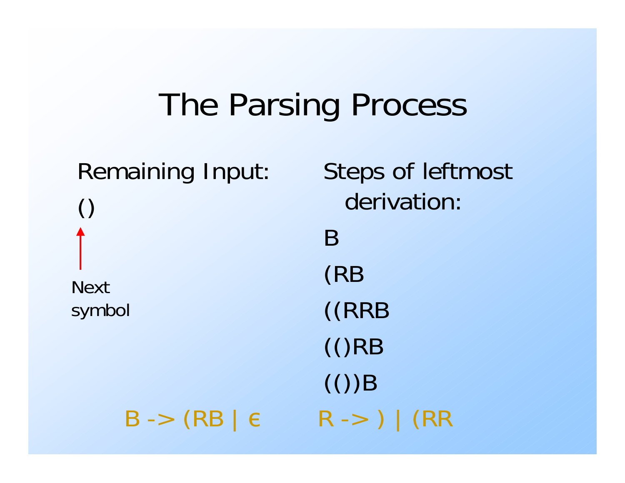Remaining Input: () Nextsymbol

Steps of leftmost derivation:B(RB ((RRB (()RB  $\mathcal{L}(f)$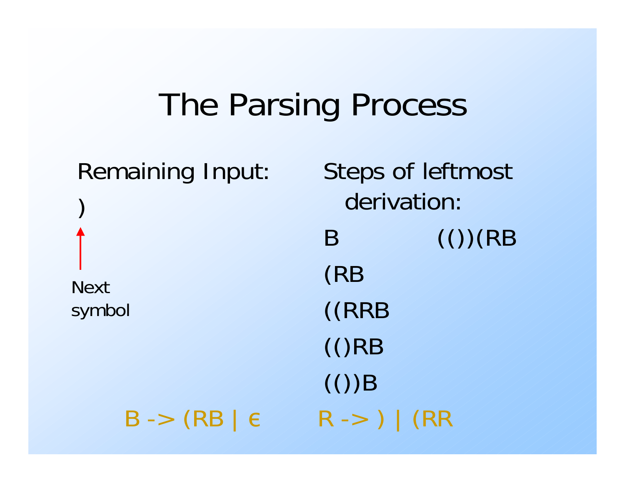Remaining Input: ) Nextsymbol

Steps of leftmost derivation: $B \qquad (()) (RB)$ (RB ((RRB (()RB  $\mathcal{L}(f)$ R -> ) | (RR

B -> (RB | ε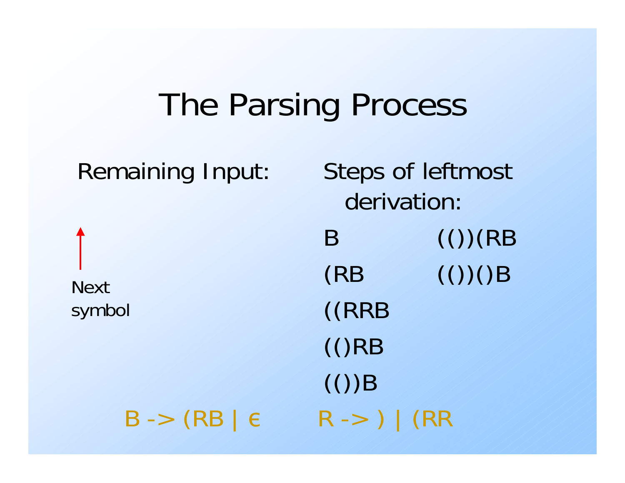Remaining Input: Steps of leftmost derivation: $\mathsf{B}$   $\qquad$   $\qquad$   $\qquad$   $\qquad$   $\qquad$   $\qquad$   $\qquad$   $\qquad$   $\qquad$   $\qquad$   $\qquad$   $\qquad$   $\qquad$   $\qquad$   $\qquad$   $\qquad$   $\qquad$   $\qquad$   $\qquad$   $\qquad$   $\qquad$   $\qquad$   $\qquad$   $\qquad$   $\qquad$   $\qquad$   $\qquad$   $\qquad$   $\qquad$   $\qquad$   $\qquad$   $\qquad$   $\qquad$   $\qquad$   $\qquad$   $\$  $(RB \t\t (())$ ((RRB (()RB  $(())$ B Nextsymbol B -> (RB | εR -> ) | (RR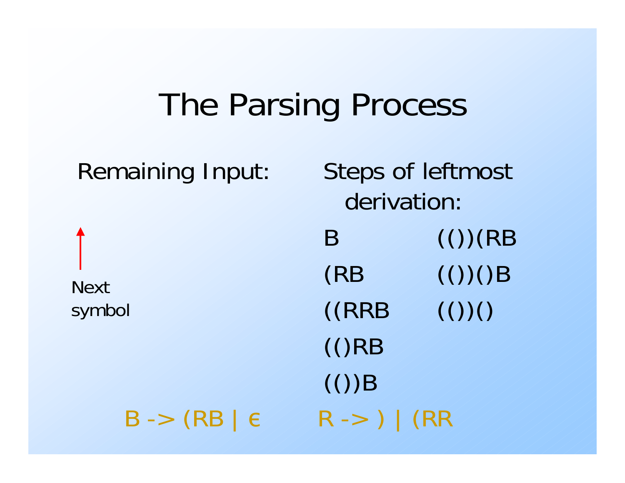Remaining Input: Steps of leftmost derivation: $\mathsf{B}$   $\qquad$   $\qquad$   $\qquad$   $\qquad$   $\qquad$   $\qquad$   $\qquad$   $\qquad$   $\qquad$   $\qquad$   $\qquad$   $\qquad$   $\qquad$   $\qquad$   $\qquad$   $\qquad$   $\qquad$   $\qquad$   $\qquad$   $\qquad$   $\qquad$   $\qquad$   $\qquad$   $\qquad$   $\qquad$   $\qquad$   $\qquad$   $\qquad$   $\qquad$   $\qquad$   $\qquad$   $\qquad$   $\qquad$   $\qquad$   $\qquad$   $\$  $(RB \t\t (())$  $((RRB \t(())$ (()RB  $(())$ B Nextsymbol B -> (RB | εR -> ) | (RR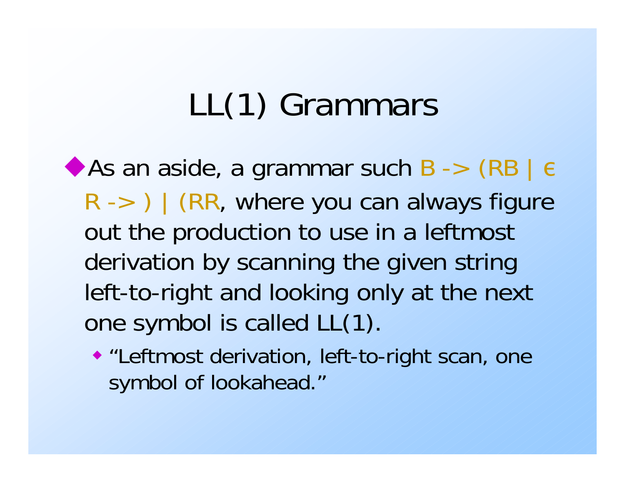# LL(1) Grammars

As an aside, a grammar such B -> (RB |  $\epsilon$  $R \rightarrow$  ) | (RR, where you can always figure out the production to use in a leftmost derivation by scanning the given string left-to-right and looking only at the next one symbol is called LL(1).

 "Leftmost derivation, left-to-right scan, one symbol of lookahead."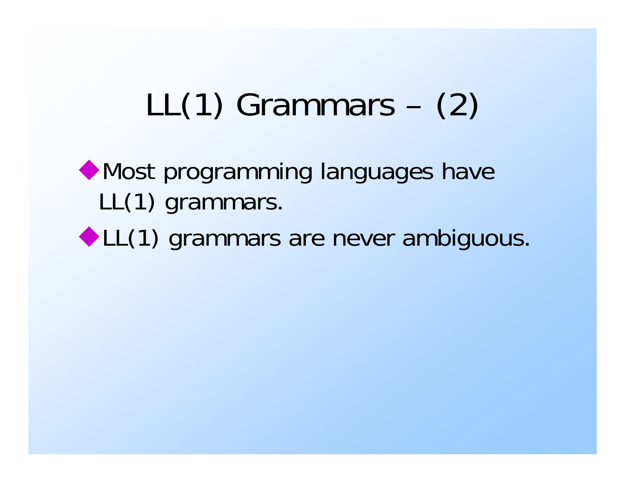# LL(1) Grammars – (2)

## Most programming languages have LL(1) grammars.

◆ LL(1) grammars are never ambiguous.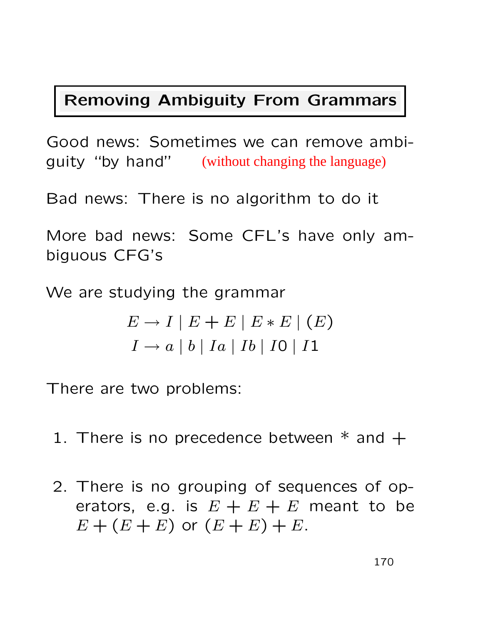#### Removing Ambiguity From Grammars

Good news: Sometimes we can remove ambiguity "by hand" (without changing the language)

Bad news: There is no algorithm to do it

More bad news: Some CFL's have only ambiguous CFG's

We are studying the grammar

$$
E \to I \mid E + E \mid E * E \mid (E)
$$
  

$$
I \to a \mid b \mid Ia \mid Ib \mid I0 \mid I1
$$

There are two problems:

- 1. There is no precedence between  $*$  and  $+$
- 2. There is no grouping of sequences of operators, e.g. is  $E + E + E$  meant to be  $E + (E + E)$  or  $(E + E) + E$ .

170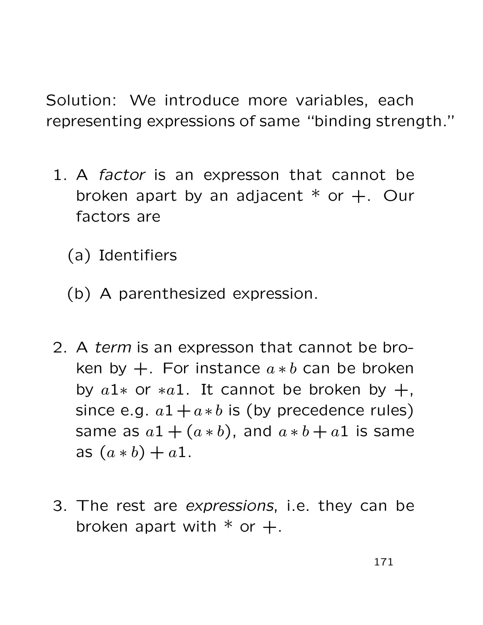Solution: We introduce more variables, each representing expressions of same "binding strength."

- 1. A *factor* is an expresson that cannot be broken apart by an adjacent  $*$  or  $+$ . Our factors are
	- (a) Identifiers
	- (b) A parenthesized expression.
- 2. A term is an expresson that cannot be broken by  $+$ . For instance  $a * b$  can be broken by  $a1*$  or  $*a1$ . It cannot be broken by  $+$ , since e.g.  $a1+a*b$  is (by precedence rules) same as  $a1 + (a * b)$ , and  $a * b + a1$  is same as  $(a * b) + a1$ .
- 3. The rest are expressions, i.e. they can be broken apart with  $*$  or  $+$ .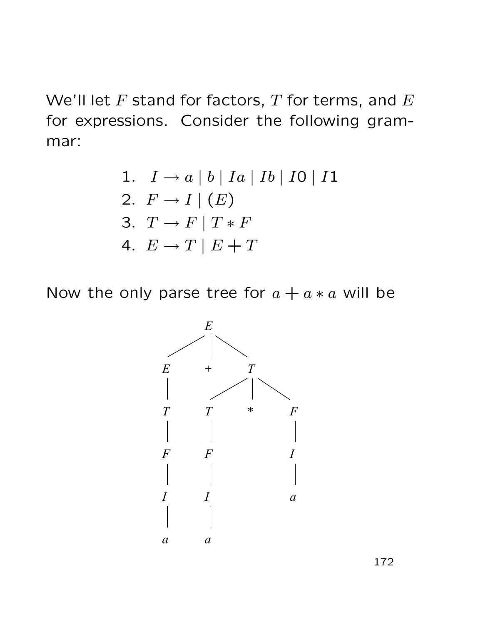We'll let  $F$  stand for factors,  $T$  for terms, and  $E$ for expressions. Consider the following grammar:

1. 
$$
I \to a |b| Ia | Ib | IO| I1
$$
  
\n2.  $F \to I | (E)$   
\n3.  $T \to F | T * F$   
\n4.  $E \to T | E + T$ 

Now the only parse tree for  $a + a * a$  will be



172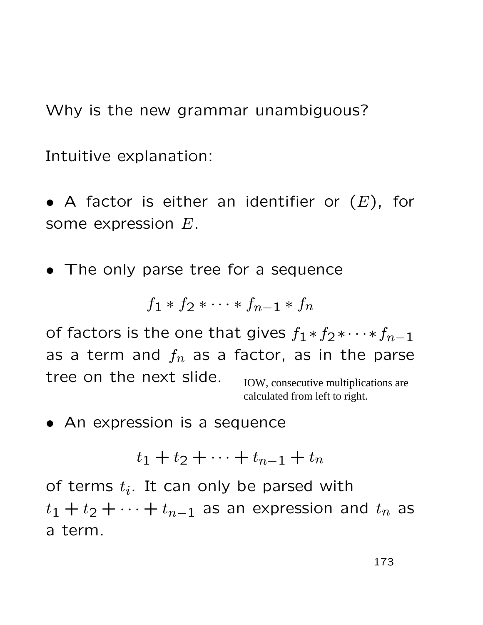Why is the new grammar unambiguous?

Intuitive explanation:

- A factor is either an identifier or  $(E)$ , for some expression E.
- The only parse tree for a sequence

$$
f_1 * f_2 * \cdots * f_{n-1} * f_n
$$

of factors is the one that gives  $f_1 * f_2 * \cdots * f_{n-1}$ as a term and  $f_n$  as a factor, as in the parse tree on the next slide. IOW, consecutive multiplications are calculated from left to right.

• An expression is a sequence

$$
t_1+t_2+\cdots+t_{n-1}+t_n
$$

of terms  $t_i$ . It can only be parsed with  $t_1 + t_2 + \cdots + t_{n-1}$  as an expression and  $t_n$  as a term.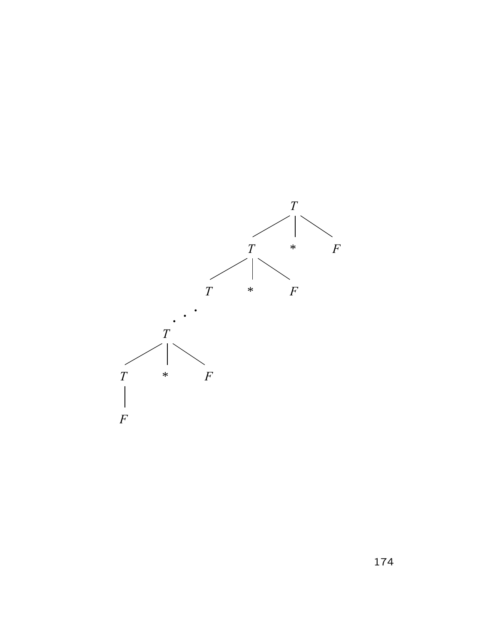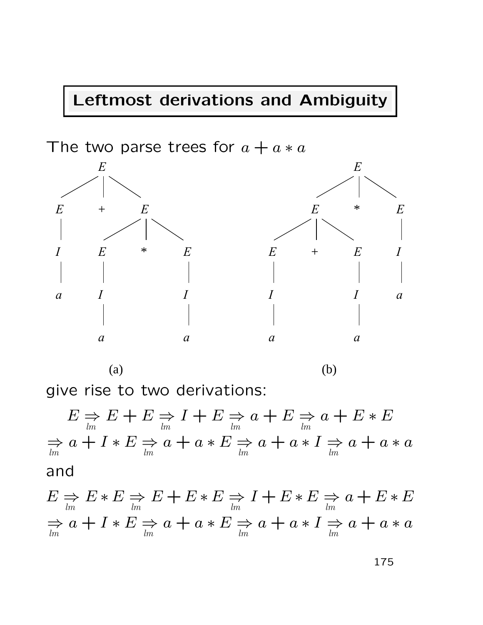### Leftmost derivations and Ambiguity



give rise to two derivations:

$$
E \underset{lm}{\Rightarrow} E + E \underset{lm}{\Rightarrow} I + E \underset{lm}{\Rightarrow} a + E \underset{lm}{\Rightarrow} a + E * E
$$
  

$$
\underset{lm}{\Rightarrow} a + I * E \underset{lm}{\Rightarrow} a + a * E \underset{lm}{\Rightarrow} a + a * I \underset{lm}{\Rightarrow} a + a * a
$$
  
and  

$$
E \underset{lm}{\Rightarrow} E * E \underset{lm}{\Rightarrow} E + E * E \underset{lm}{\Rightarrow} I + E * E \underset{lm}{\Rightarrow} a + E * E
$$
  

$$
\underset{lm}{\Rightarrow} a + I * E \underset{lm}{\Rightarrow} a + a * E \underset{lm}{\Rightarrow} a + a * I \underset{lm}{\Rightarrow} a + a * a
$$

175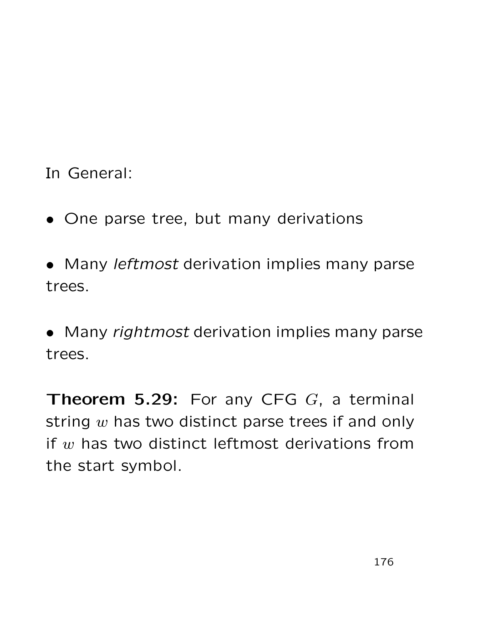In General:

• One parse tree, but many derivations

• Many *leftmost* derivation implies many parse trees.

• Many rightmost derivation implies many parse trees.

**Theorem 5.29:** For any CFG  $G$ , a terminal string  $w$  has two distinct parse trees if and only if  $w$  has two distinct leftmost derivations from the start symbol.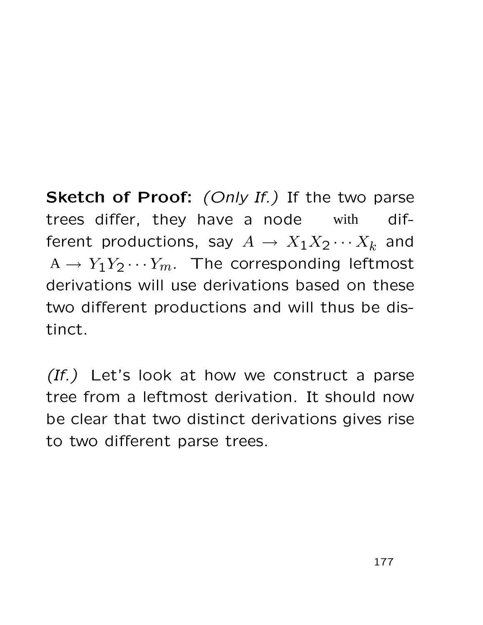Sketch of Proof: (Only If.) If the two parse trees differ, they have a node with different productions, say  $A \to X_1 X_2 \cdots X_k$  and  $A \rightarrow Y_1 Y_2 \cdots Y_m$ . The corresponding leftmost derivations will use derivations based on these two different productions and will thus be distinct. with

 $(If.)$  Let's look at how we construct a parse tree from a leftmost derivation. It should now be clear that two distinct derivations gives rise to two different parse trees.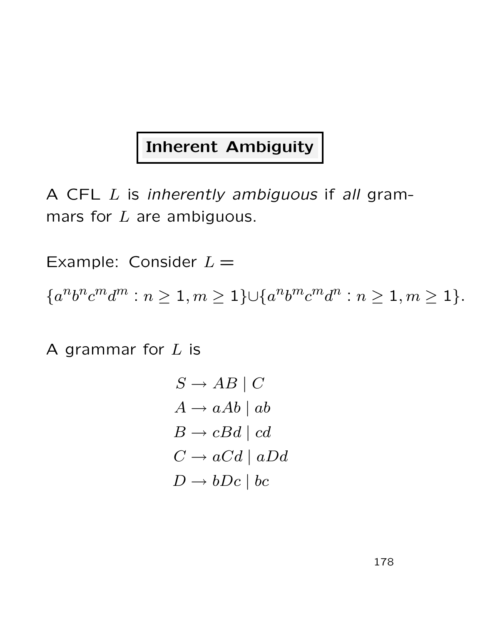### Inherent Ambiguity

A CFL L is inherently ambiguous if all grammars for  $L$  are ambiguous.

Example: Consider  $L =$ 

 ${a^n b^n c^m d^m : n \ge 1, m \ge 1} \cup {a^n b^m c^m d^n : n \ge 1, m \ge 1}.$ 

A grammar for  $L$  is

$$
S \to AB \mid C
$$
  
\n
$$
A \to aAb \mid ab
$$
  
\n
$$
B \to cBd \mid cd
$$
  
\n
$$
C \to aCd \mid aDd
$$
  
\n
$$
D \to bDc \mid bc
$$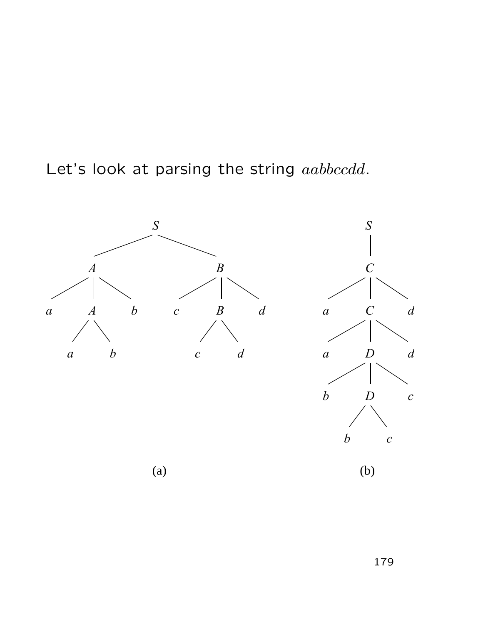